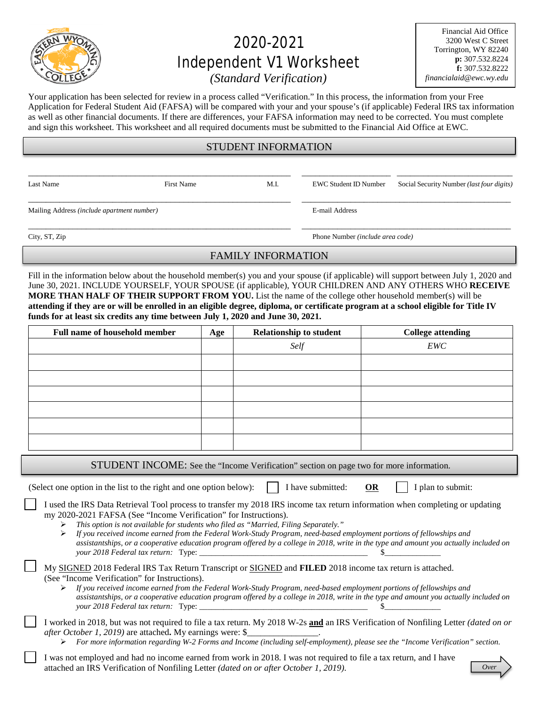

# 2020-2021 Independent V1 Worksheet

Financial Aid Office 3200 West C Street Torrington, WY 82240 **p:** 307.532.8224 **f:** 307.532.8222 *financialaid@ewc.wy.edu*

*(Standard Verification)*

Your application has been selected for review in a process called "Verification." In this process, the information from your Free Application for Federal Student Aid (FAFSA) will be compared with your and your spouse's (if applicable) Federal IRS tax information as well as other financial documents. If there are differences, your FAFSA information may need to be corrected. You must complete and sign this worksheet. This worksheet and all required documents must be submitted to the Financial Aid Office at EWC.

## STUDENT INFORMATION

\_\_\_\_\_\_\_\_\_\_\_\_\_\_\_\_\_\_\_\_\_\_\_\_\_\_\_\_\_\_\_\_\_\_\_\_\_\_\_\_\_\_\_\_\_\_\_\_\_\_\_\_\_\_\_\_\_\_\_ \_\_\_\_\_\_\_\_\_\_\_\_\_\_\_\_\_\_\_\_ \_\_\_\_\_\_\_\_\_\_\_\_\_\_\_\_\_\_\_\_\_\_\_\_\_\_

\_\_\_\_\_\_\_\_\_\_\_\_\_\_\_\_\_\_\_\_\_\_\_\_\_\_\_\_\_\_\_\_\_\_\_\_\_\_\_\_\_\_\_\_\_\_\_\_\_\_\_\_\_\_\_\_\_\_\_ \_\_\_\_\_\_\_\_\_\_\_\_\_\_\_\_\_\_\_\_\_\_\_\_\_\_\_\_\_\_\_\_\_\_\_\_\_\_\_\_\_\_\_\_\_\_\_

Mailing Address *(include apartment number)* E-mail Address

Last Name First Name First Name M.I. EWC Student ID Number Social Security Number *(last four digits)* 

\_\_\_\_\_\_\_\_\_\_\_\_\_\_\_\_\_\_\_\_\_\_\_\_\_\_\_\_\_\_\_\_\_\_\_\_\_\_\_\_\_\_\_\_\_\_\_\_\_\_\_\_\_\_\_\_\_\_\_ \_\_\_\_\_\_\_\_\_\_\_\_\_\_\_\_\_\_\_\_\_\_\_\_\_\_\_\_\_\_\_\_\_\_\_\_\_\_\_\_\_\_\_\_\_\_\_ City, ST, Zip Phone Number *(include area code)*

FAMILY INFORMATION

Fill in the information below about the household member(s) you and your spouse (if applicable) will support between July 1, 2020 and June 30, 2021. INCLUDE YOURSELF, YOUR SPOUSE (if applicable), YOUR CHILDREN AND ANY OTHERS WHO **RECEIVE MORE THAN HALF OF THEIR SUPPORT FROM YOU.** List the name of the college other household member(s) will be **attending if they are or will be enrolled in an eligible degree, diploma, or certificate program at a school eligible for Title IV funds for at least six credits any time between July 1, 2020 and June 30, 2021.**

| <b>Full name of household member</b> | Age | <b>Relationship to student</b> | <b>College attending</b> |
|--------------------------------------|-----|--------------------------------|--------------------------|
|                                      |     | Self                           | EWC                      |
|                                      |     |                                |                          |
|                                      |     |                                |                          |
|                                      |     |                                |                          |
|                                      |     |                                |                          |
|                                      |     |                                |                          |
|                                      |     |                                |                          |
|                                      |     |                                |                          |

STUDENT INCOME: See the "Income Verification" section on page two for more information.

(Select one option in the list to the right and one option below):  $\parallel$  I have submitted: **OR** I plan to submit:

I used the IRS Data Retrieval Tool process to transfer my 2018 IRS income tax return information when completing or updating my 2020-2021 FAFSA (See "Income Verification" for Instructions).

*This option is not available for students who filed as "Married, Filing Separately."*

 *If you received income earned from the Federal Work-Study Program, need-based employment portions of fellowships and assistantships, or a cooperative education program offered by a college in 2018, write in the type and amount you actually included on your 2018 Federal tax return:* Type: \_\_\_\_\_\_\_\_\_\_\_\_\_\_\_\_\_\_\_\_\_\_\_\_\_\_\_\_\_\_\_\_\_\_\_\_\_\_\_\_\_\_ \$\_\_\_\_\_\_\_\_\_\_\_\_\_\_

My SIGNED 2018 Federal IRS Tax Return Transcript or SIGNED and **FILED** 2018 income tax return is attached. (See "Income Verification" for Instructions).

 *If you received income earned from the Federal Work-Study Program, need-based employment portions of fellowships and assistantships, or a cooperative education program offered by a college in 2018, write in the type and amount you actually included on your 2018 Federal tax return:* Type: \_\_\_\_\_\_\_\_\_\_\_\_\_\_\_\_\_\_\_\_\_\_\_\_\_\_\_\_\_\_\_\_\_\_\_\_\_\_\_\_\_\_ \$\_\_\_\_\_\_\_\_\_\_\_\_\_\_

I worked in 2018, but was not required to file a tax return. My 2018 W-2s **and** an IRS Verification of Nonfiling Letter *(dated on or after October 1, 2019*) are attached. My earnings were: \$

*For more information regarding W-2 Forms and Income (including self-employment), please see the "Income Verification" section.* 

I was not employed and had no income earned from work in 2018. I was not required to file a tax return, and I have attached an IRS Verification of Nonfiling Letter *(dated on or after October 1, 2019)*.